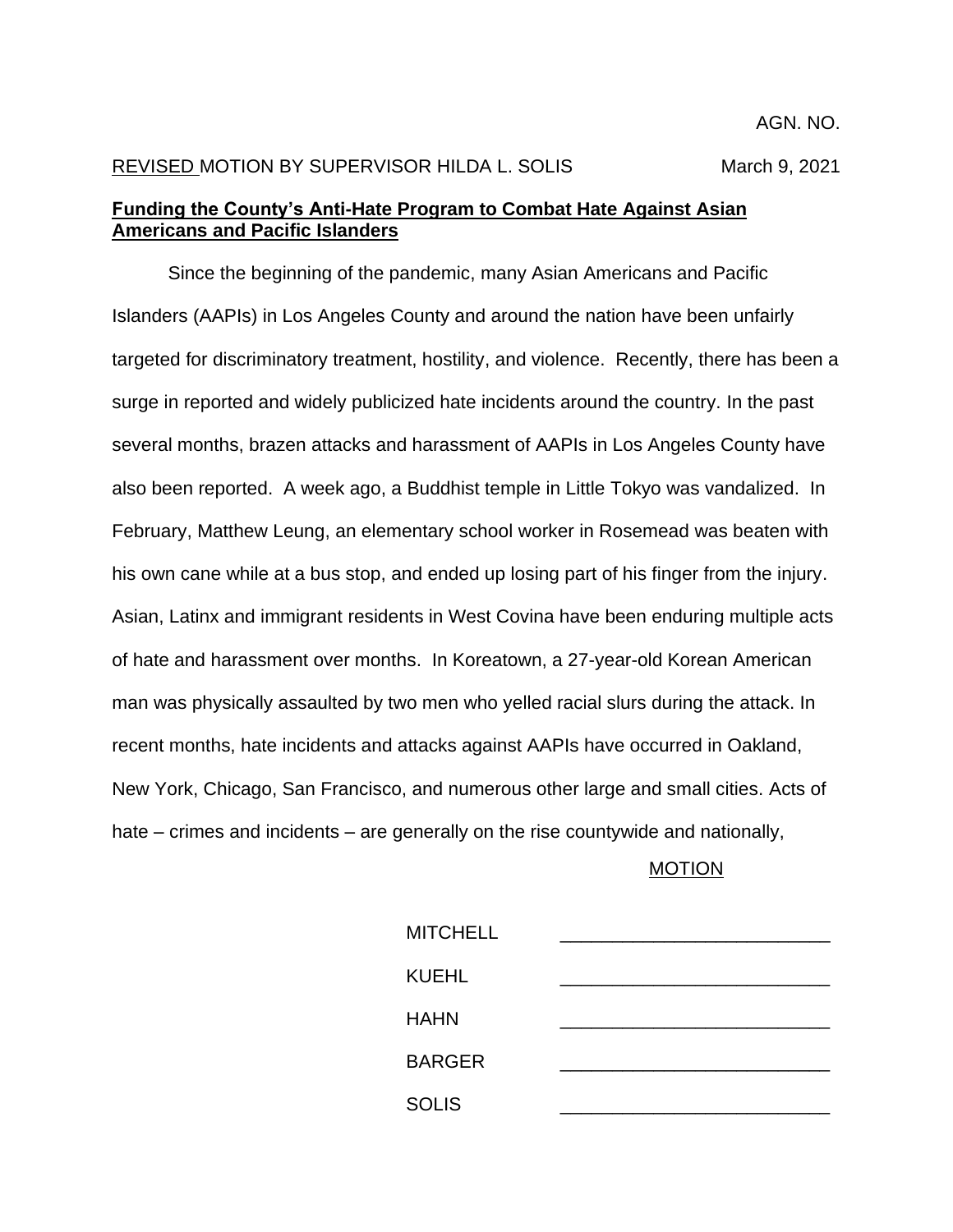## REVISED MOTION BY SUPERVISOR HILDA L. SOLIS March 9, 2021

## **Funding the County's Anti-Hate Program to Combat Hate Against Asian Americans and Pacific Islanders**

Since the beginning of the pandemic, many Asian Americans and Pacific Islanders (AAPIs) in Los Angeles County and around the nation have been unfairly targeted for discriminatory treatment, hostility, and violence. Recently, there has been a surge in reported and widely publicized hate incidents around the country. In the past several months, brazen attacks and harassment of AAPIs in Los Angeles County have also been reported. A week ago, a Buddhist temple in Little Tokyo was vandalized. In February, Matthew Leung, an elementary school worker in Rosemead was beaten with his own cane while at a bus stop, and ended up losing part of his finger from the injury. Asian, Latinx and immigrant residents in West Covina have been enduring multiple acts of hate and harassment over months. In Koreatown, a 27-year-old Korean American man was physically assaulted by two men who yelled racial slurs during the attack. In recent months, hate incidents and attacks against AAPIs have occurred in Oakland, New York, Chicago, San Francisco, and numerous other large and small cities. Acts of hate – crimes and incidents – are generally on the rise countywide and nationally,

## MOTION

| <b>MITCHELL</b> |  |
|-----------------|--|
| <b>KUEHL</b>    |  |
| <b>HAHN</b>     |  |
|                 |  |
| <b>BARGER</b>   |  |
| <b>SOLIS</b>    |  |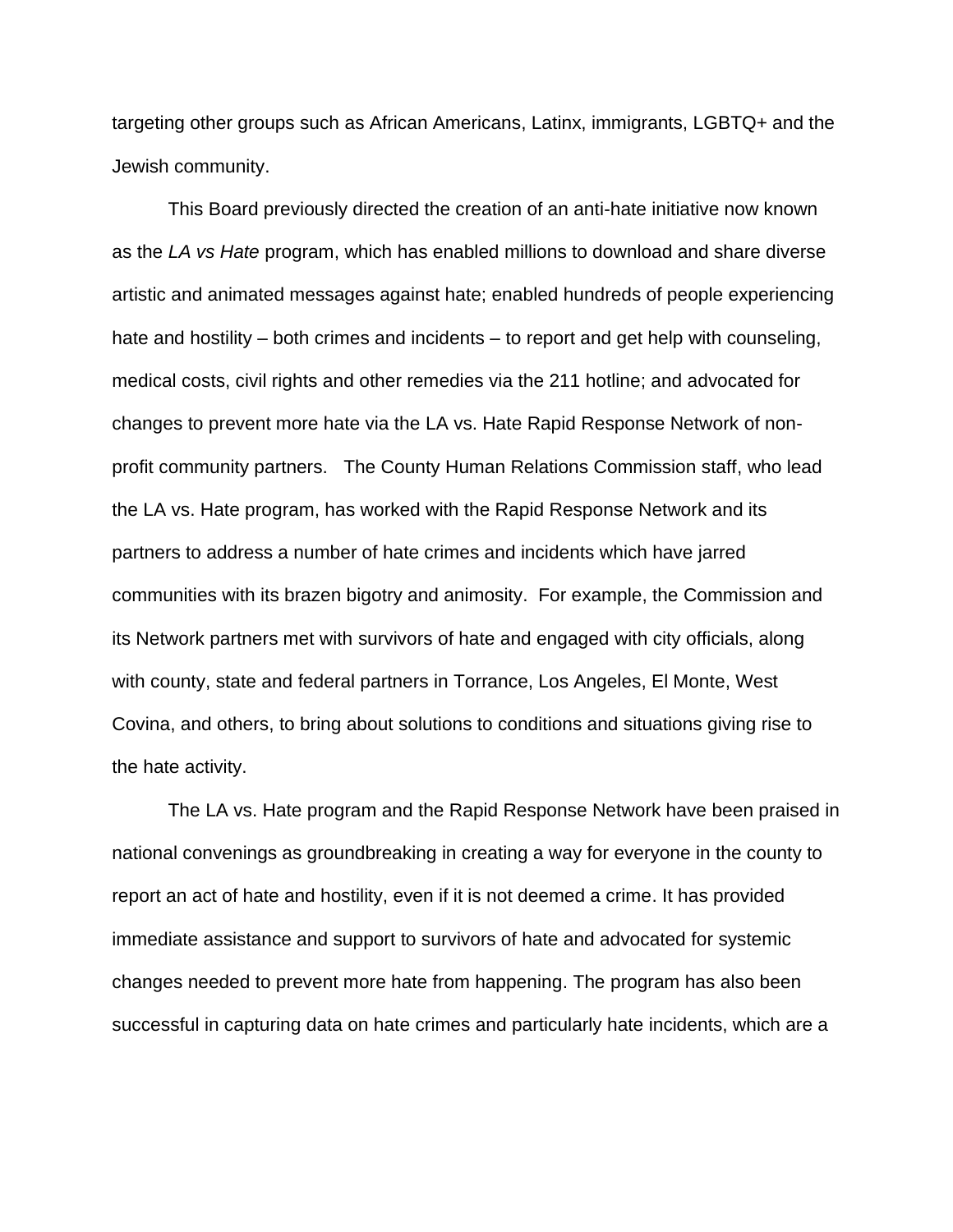targeting other groups such as African Americans, Latinx, immigrants, LGBTQ+ and the Jewish community.

This Board previously directed the creation of an anti-hate initiative now known as the *LA vs Hate* program, which has enabled millions to download and share diverse artistic and animated messages against hate; enabled hundreds of people experiencing hate and hostility – both crimes and incidents – to report and get help with counseling, medical costs, civil rights and other remedies via the 211 hotline; and advocated for changes to prevent more hate via the LA vs. Hate Rapid Response Network of nonprofit community partners. The County Human Relations Commission staff, who lead the LA vs. Hate program, has worked with the Rapid Response Network and its partners to address a number of hate crimes and incidents which have jarred communities with its brazen bigotry and animosity. For example, the Commission and its Network partners met with survivors of hate and engaged with city officials, along with county, state and federal partners in Torrance, Los Angeles, El Monte, West Covina, and others, to bring about solutions to conditions and situations giving rise to the hate activity.

The LA vs. Hate program and the Rapid Response Network have been praised in national convenings as groundbreaking in creating a way for everyone in the county to report an act of hate and hostility, even if it is not deemed a crime. It has provided immediate assistance and support to survivors of hate and advocated for systemic changes needed to prevent more hate from happening. The program has also been successful in capturing data on hate crimes and particularly hate incidents, which are a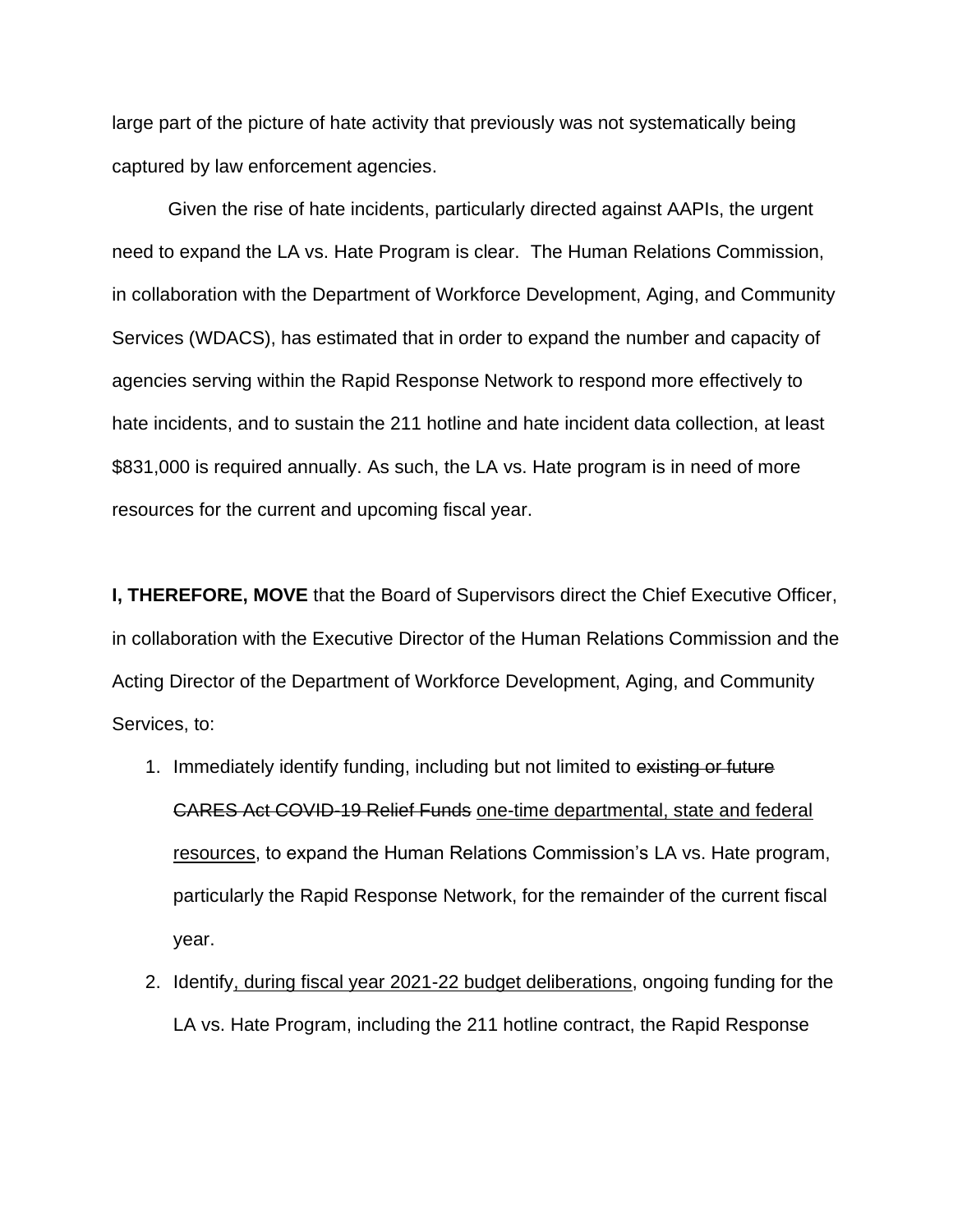large part of the picture of hate activity that previously was not systematically being captured by law enforcement agencies.

Given the rise of hate incidents, particularly directed against AAPIs, the urgent need to expand the LA vs. Hate Program is clear. The Human Relations Commission, in collaboration with the Department of Workforce Development, Aging, and Community Services (WDACS), has estimated that in order to expand the number and capacity of agencies serving within the Rapid Response Network to respond more effectively to hate incidents, and to sustain the 211 hotline and hate incident data collection, at least \$831,000 is required annually. As such, the LA vs. Hate program is in need of more resources for the current and upcoming fiscal year.

**I, THEREFORE, MOVE** that the Board of Supervisors direct the Chief Executive Officer, in collaboration with the Executive Director of the Human Relations Commission and the Acting Director of the Department of Workforce Development, Aging, and Community Services, to:

- 1. Immediately identify funding, including but not limited to existing or future CARES Act COVID-19 Relief Funds one-time departmental, state and federal resources, to expand the Human Relations Commission's LA vs. Hate program, particularly the Rapid Response Network, for the remainder of the current fiscal year.
- 2. Identify, during fiscal year 2021-22 budget deliberations, ongoing funding for the LA vs. Hate Program, including the 211 hotline contract, the Rapid Response